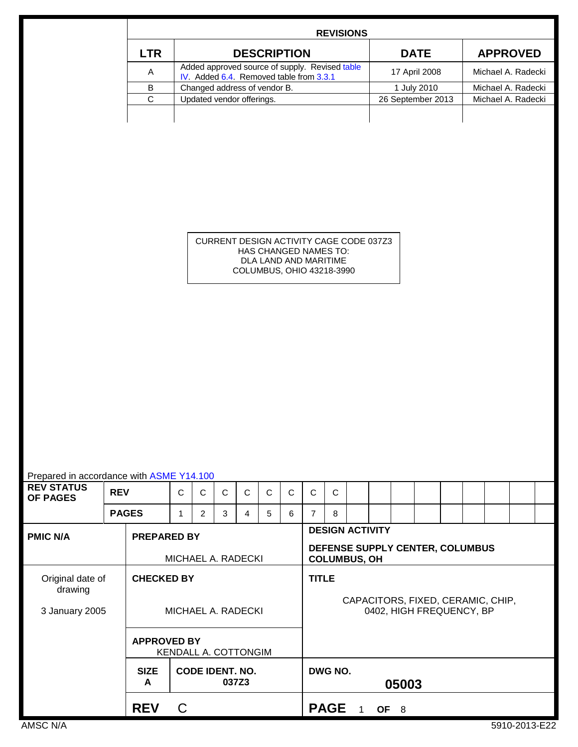|            | <b>REVISIONS</b>                                                                          |                   |                    |
|------------|-------------------------------------------------------------------------------------------|-------------------|--------------------|
| <b>LTR</b> | <b>DESCRIPTION</b>                                                                        | <b>DATE</b>       | <b>APPROVED</b>    |
| A          | Added approved source of supply. Revised table<br>IV. Added 6.4. Removed table from 3.3.1 | 17 April 2008     | Michael A. Radecki |
| B          | Changed address of vendor B.                                                              | 1 July 2010       | Michael A. Radecki |
| C          | Updated vendor offerings.                                                                 | 26 September 2013 | Michael A. Radecki |
|            |                                                                                           |                   |                    |
|            |                                                                                           |                   |                    |

CURRENT DESIGN ACTIVITY CAGE CODE 037Z3 HAS CHANGED NAMES TO: DLA LAND AND MARITIME COLUMBUS, OHIO 43218-3990

| Prepared in accordance with ASME Y14.100                    |              |                    |   |                                                                                  |   |              |                                                   |              |   |              |  |                          |       |  |  |  |               |  |
|-------------------------------------------------------------|--------------|--------------------|---|----------------------------------------------------------------------------------|---|--------------|---------------------------------------------------|--------------|---|--------------|--|--------------------------|-------|--|--|--|---------------|--|
| <b>REV STATUS</b><br><b>OF PAGES</b>                        | <b>REV</b>   |                    | C | C                                                                                | C | $\mathsf{C}$ | $\mathsf{C}$                                      | $\mathsf{C}$ | C | $\mathsf{C}$ |  |                          |       |  |  |  |               |  |
|                                                             | <b>PAGES</b> |                    | 1 | $\overline{2}$                                                                   | 3 | 4            | 5                                                 | 6            | 7 | 8            |  |                          |       |  |  |  |               |  |
| <b>PMIC N/A</b><br><b>PREPARED BY</b><br>MICHAEL A. RADECKI |              |                    |   | <b>DESIGN ACTIVITY</b><br>DEFENSE SUPPLY CENTER, COLUMBUS<br><b>COLUMBUS, OH</b> |   |              |                                                   |              |   |              |  |                          |       |  |  |  |               |  |
| Original date of<br>drawing                                 |              | <b>CHECKED BY</b>  |   |                                                                                  |   |              | <b>TITLE</b><br>CAPACITORS, FIXED, CERAMIC, CHIP, |              |   |              |  |                          |       |  |  |  |               |  |
| 3 January 2005                                              |              | MICHAEL A. RADECKI |   |                                                                                  |   |              |                                                   |              |   |              |  | 0402, HIGH FREQUENCY, BP |       |  |  |  |               |  |
| <b>APPROVED BY</b><br>KENDALL A. COTTONGIM                  |              |                    |   |                                                                                  |   |              |                                                   |              |   |              |  |                          |       |  |  |  |               |  |
|                                                             |              | <b>SIZE</b><br>A   |   | <b>CODE IDENT. NO.</b>                                                           |   | 037Z3        |                                                   |              |   | DWG NO.      |  |                          | 05003 |  |  |  |               |  |
|                                                             |              | <b>REV</b>         | C |                                                                                  |   |              |                                                   |              |   | <b>PAGE</b>  |  |                          | OF 8  |  |  |  |               |  |
| AMSC N/A                                                    |              |                    |   |                                                                                  |   |              |                                                   |              |   |              |  |                          |       |  |  |  | 5910-2013-E22 |  |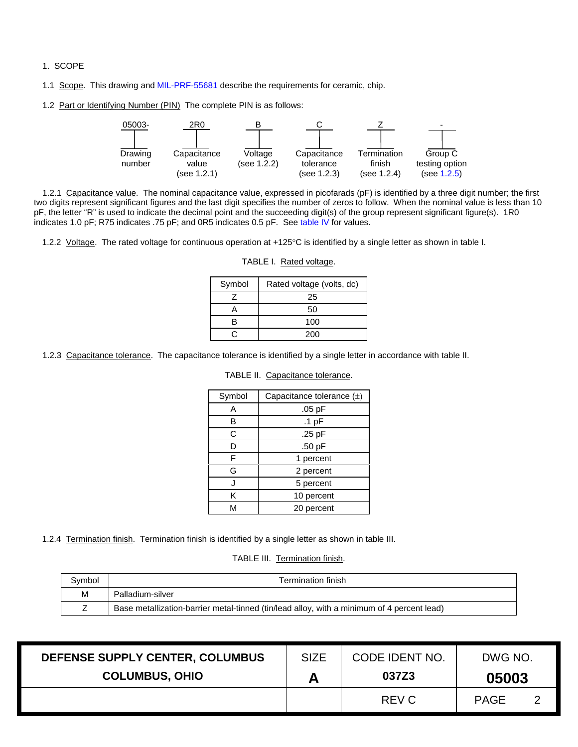- 1. SCOPE
- 1.1 Scope. This drawing an[d MIL-PRF-55681](http://www.landandmaritime.dla.mil/Downloads/MilSpec/Docs/MIL-PRF-55681/prf55681.pdf) describe the requirements for ceramic, chip.
- <span id="page-1-0"></span>1.2 Part or Identifying Number (PIN) The complete PIN is as follows:



1.2.1 Capacitance value. The nominal capacitance value, expressed in picofarads (pF) is identified by a three digit number; the first two digits represent significant figures and the last digit specifies the number of zeros to follow. When the nominal value is less than 10 pF, the letter "R" is used to indicate the decimal point and the succeeding digit(s) of the group represent significant figure(s). 1R0 indicates 1.0 pF; R75 indicates .75 pF; and 0R5 indicates 0.5 pF. See [table IV](#page-6-0) for values.

1.2.2 Voltage. The rated voltage for continuous operation at +125°C is identified by a single letter as shown in table I.

| Symbol | Rated voltage (volts, dc) |
|--------|---------------------------|
|        | 25                        |
|        | 50                        |
|        | 100                       |
|        | 200                       |

#### TABLE I. Rated voltage.

1.2.3 Capacitance tolerance. The capacitance tolerance is identified by a single letter in accordance with table II.

| Symbol | Capacitance tolerance $(\pm)$ |
|--------|-------------------------------|
| А      | $.05$ pF                      |
| В      | $.1$ pF                       |
| C      | .25 pF                        |
| D      | .50 pF                        |
| F      | 1 percent                     |
| G      | 2 percent                     |
| J.     | 5 percent                     |
| Κ      | 10 percent                    |
|        | 20 percent                    |

TABLE II. Capacitance tolerance.

1.2.4 Termination finish. Termination finish is identified by a single letter as shown in table III.

TABLE III. Termination finish.

| Symbol | Termination finish                                                                         |
|--------|--------------------------------------------------------------------------------------------|
| М      | Palladium-silver                                                                           |
|        | Base metallization-barrier metal-tinned (tin/lead alloy, with a minimum of 4 percent lead) |

| DEFENSE SUPPLY CENTER, COLUMBUS | <b>SIZE</b> | CODE IDENT NO. | DWG NO. |  |
|---------------------------------|-------------|----------------|---------|--|
| <b>COLUMBUS, OHIO</b>           | A           | 037Z3          | 05003   |  |
|                                 |             | REV C          | PAGF    |  |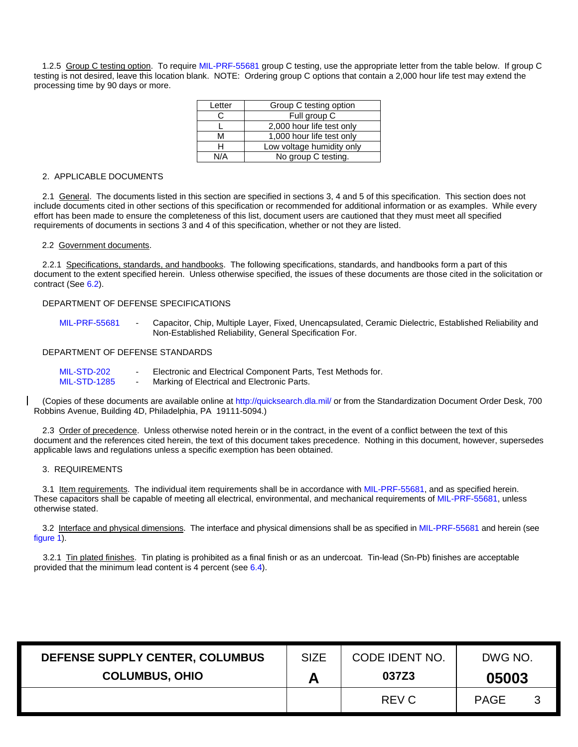<span id="page-2-0"></span>1.2.5 Group C testing option. To requir[e MIL-PRF-55681](http://www.landandmaritime.dla.mil/Downloads/MilSpec/Docs/MIL-PRF-55681/prf55681.pdf) group C testing, use the appropriate letter from the table below. If group C testing is not desired, leave this location blank. NOTE: Ordering group C options that contain a 2,000 hour life test may extend the processing time by 90 days or more.

| Letter | Group C testing option    |
|--------|---------------------------|
| C.     | Full group C              |
|        | 2,000 hour life test only |
| м      | 1,000 hour life test only |
|        | Low voltage humidity only |
| NI/A   | No group C testing.       |

## 2. APPLICABLE DOCUMENTS

2.1 General. The documents listed in this section are specified in sections 3, 4 and 5 of this specification. This section does not include documents cited in other sections of this specification or recommended for additional information or as examples. While every effort has been made to ensure the completeness of this list, document users are cautioned that they must meet all specified requirements of documents in sections 3 and 4 of this specification, whether or not they are listed.

### 2.2 Government documents.

2.2.1 Specifications, standards, and handbooks. The following specifications, standards, and handbooks form a part of this document to the extent specified herein. Unless otherwise specified, the issues of these documents are those cited in the solicitation or contract (See [6.2\)](#page-5-1).

## DEPARTMENT OF DEFENSE SPECIFICATIONS

[MIL-PRF-55681](http://www.landandmaritime.dla.mil/Downloads/MilSpec/Docs/MIL-PRF-55681/prf55681.pdf) - Capacitor, Chip, Multiple Layer, Fixed, Unencapsulated, Ceramic Dielectric, Established Reliability and Non-Established Reliability, General Specification For.

## DEPARTMENT OF DEFENSE STANDARDS

| MIL-STD-202 |  | Electronic and Electrical Component Parts, Test Methods for. |  |  |  |
|-------------|--|--------------------------------------------------------------|--|--|--|
|-------------|--|--------------------------------------------------------------|--|--|--|

[MIL-STD-1285](http://www.landandmaritime.dla.mil/Downloads/MilSpec/Docs/MIL-std-1285/std1285.pdf) - Marking of Electrical and Electronic Parts.

(Copies of these documents are available online a[t http://quicksearch.dla.mil/](http://quicksearch.dla.mil/) or from the Standardization Document Order Desk, 700 Robbins Avenue, Building 4D, Philadelphia, PA 19111-5094.)

2.3 Order of precedence. Unless otherwise noted herein or in the contract, in the event of a conflict between the text of this document and the references cited herein, the text of this document takes precedence. Nothing in this document, however, supersedes applicable laws and regulations unless a specific exemption has been obtained.

### 3. REQUIREMENTS

3.1 Item requirements. The individual item requirements shall be in accordance wit[h MIL-PRF-55681,](http://www.landandmaritime.dla.mil/Downloads/MilSpec/Docs/MIL-PRF-55681/prf55681.pdf) and as specified herein. These capacitors shall be capable of meeting all electrical, environmental, and mechanical requirements of [MIL-PRF-55681,](http://www.landandmaritime.dla.mil/Downloads/MilSpec/Docs/MIL-PRF-55681/prf55681.pdf) unless otherwise stated.

3.2 Interface and physical dimensions. The interface and physical dimensions shall be as specified in [MIL-PRF-55681](http://www.landandmaritime.dla.mil/Downloads/MilSpec/Docs/MIL-PRF-55681/prf55681.pdf) and herein (see [figure 1\)](#page-3-1).

3.2.1 Tin plated finishes. Tin plating is prohibited as a final finish or as an undercoat. Tin-lead (Sn-Pb) finishes are acceptable provided that the minimum lead content is 4 percent (see [6.4\)](#page-5-0).

| DEFENSE SUPPLY CENTER, COLUMBUS | <b>SIZE</b> | CODE IDENT NO. | DWG NO.     |    |
|---------------------------------|-------------|----------------|-------------|----|
| <b>COLUMBUS, OHIO</b>           |             | 037Z3          | 05003       |    |
|                                 |             | REV C          | <b>PAGE</b> | -3 |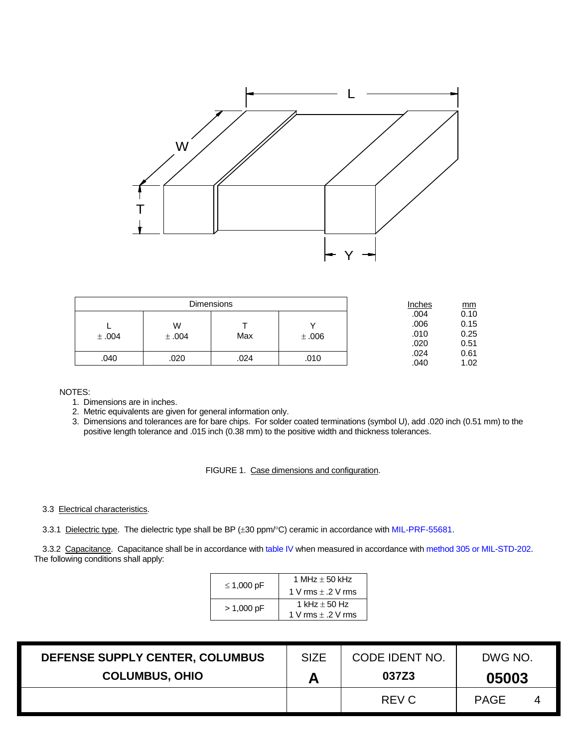<span id="page-3-1"></span>

|       |       | <b>Dimensions</b> |       | Inches | mm   |
|-------|-------|-------------------|-------|--------|------|
|       |       |                   |       | .004   | 0.10 |
|       | W     |                   |       | .006   | 0.15 |
| ±.004 | ±.004 | Max               | ±.006 | .010   | 0.25 |
|       |       |                   |       | .020   | 0.51 |
|       |       |                   |       | .024   | 0.61 |
| .040  | .020  | .024              | .010  | .040   | 1.02 |

NOTES:

- 1. Dimensions are in inches.
- 2. Metric equivalents are given for general information only.
- 3. Dimensions and tolerances are for bare chips. For solder coated terminations (symbol U), add .020 inch (0.51 mm) to the positive length tolerance and .015 inch (0.38 mm) to the positive width and thickness tolerances.

FIGURE 1. Case dimensions and configuration.

## 3.3 Electrical characteristics.

<span id="page-3-0"></span>3.3.1 Dielectric type. The dielectric type shall be BP (±30 ppm/°C) ceramic in accordance with [MIL-PRF-55681.](http://www.landandmaritime.dla.mil/Downloads/MilSpec/Docs/MIL-PRF-55681/prf55681.pdf)

<span id="page-3-2"></span>3.3.2 Capacitance. Capacitance shall be in accordance wit[h table IV](#page-6-0) when measured in accordance with method 305 or MIL-STD-202. The following conditions shall apply:

| $\leq$ 1,000 pF | 1 MHz $\pm$ 50 kHz     |
|-----------------|------------------------|
|                 | 1 V rms $\pm$ .2 V rms |
| $> 1,000$ pF    | 1 kHz $\pm$ 50 Hz      |
|                 | 1 V rms $\pm$ .2 V rms |

| DEFENSE SUPPLY CENTER, COLUMBUS | <b>SIZE</b> | CODE IDENT NO. | DWG NO.     |   |
|---------------------------------|-------------|----------------|-------------|---|
| <b>COLUMBUS, OHIO</b>           | А           | 037Z3          | 05003       |   |
|                                 | REV C       |                | <b>PAGE</b> | 4 |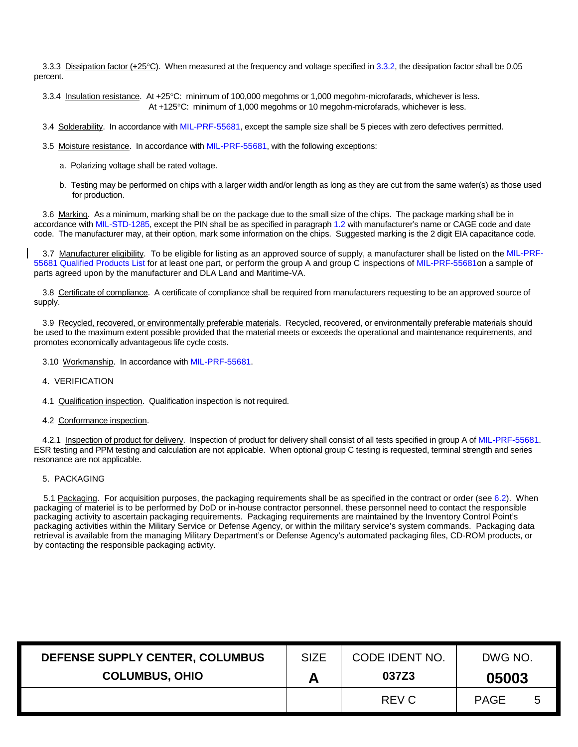3.3.3 Dissipation factor (+25°C). When measured at the frequency and voltage specified in [3.3.2,](#page-3-2) the dissipation factor shall be 0.05 percent.

3.3.4 Insulation resistance. At +25°C: minimum of 100,000 megohms or 1,000 megohm-microfarads, whichever is less. At +125°C: minimum of 1,000 megohms or 10 megohm-microfarads, whichever is less.

3.4 Solderability. In accordance wit[h MIL-PRF-55681,](http://www.landandmaritime.dla.mil/Downloads/MilSpec/Docs/MIL-PRF-55681/prf55681.pdf) except the sample size shall be 5 pieces with zero defectives permitted.

- 3.5 Moisture resistance. In accordance wit[h MIL-PRF-55681,](http://www.landandmaritime.dla.mil/Downloads/MilSpec/Docs/MIL-PRF-55681/prf55681.pdf) with the following exceptions:
	- a. Polarizing voltage shall be rated voltage.
	- b. Testing may be performed on chips with a larger width and/or length as long as they are cut from the same wafer(s) as those used for production.

3.6 Marking. As a minimum, marking shall be on the package due to the small size of the chips. The package marking shall be in accordance with [MIL-STD-1285,](http://www.landandmaritime.dla.mil/Downloads/MilSpec/Docs/MIL-STD-1285/std1285.pdf) except the PIN shall be as specified in paragrap[h 1.2](#page-1-0) with manufacturer's name or CAGE code and date code. The manufacturer may, at their option, mark some information on the chips. Suggested marking is the 2 digit EIA capacitance code.

3.7 Manufacturer eligibility. To be eligible for listing as an approved source of supply, a manufacturer shall be listed on the [MIL-PRF-](http://www.landandmaritime.dla.mil/Downloads/MilSpec/Docs/MIL-PRF-55681/prf55681.pdf)[55681](http://www.landandmaritime.dla.mil/Downloads/MilSpec/Docs/MIL-PRF-55681/prf55681.pdf) Qualified Products List for at least one part, or perform the group A and group C inspections of [MIL-PRF-55681o](http://www.landandmaritime.dla.mil/Downloads/MilSpec/Docs/MIL-PRF-55681/prf55681.pdf)n a sample of parts agreed upon by the manufacturer and DLA Land and Maritime-VA.

3.8 Certificate of compliance. A certificate of compliance shall be required from manufacturers requesting to be an approved source of supply.

3.9 Recycled, recovered, or environmentally preferable materials. Recycled, recovered, or environmentally preferable materials should be used to the maximum extent possible provided that the material meets or exceeds the operational and maintenance requirements, and promotes economically advantageous life cycle costs.

3.10 Workmanship. In accordance wit[h MIL-PRF-55681.](http://www.landandmaritime.dla.mil/Downloads/MilSpec/Docs/MIL-PRF-55681/prf55681.pdf)

- 4. VERIFICATION
- 4.1 Qualification inspection. Qualification inspection is not required.
- 4.2 Conformance inspection.

4.2.1 Inspection of product for delivery. Inspection of product for delivery shall consist of all tests specified in group A of [MIL-PRF-55681.](http://www.landandmaritime.dla.mil/Downloads/MilSpec/Docs/MIL-PRF-55681/prf55681.pdf) ESR testing and PPM testing and calculation are not applicable. When optional group C testing is requested, terminal strength and series resonance are not applicable.

#### 5. PACKAGING

5.1 Packaging. For acquisition purposes, the packaging requirements shall be as specified in the contract or order (see [6.2\)](#page-5-1). When packaging of materiel is to be performed by DoD or in-house contractor personnel, these personnel need to contact the responsible packaging activity to ascertain packaging requirements. Packaging requirements are maintained by the Inventory Control Point's packaging activities within the Military Service or Defense Agency, or within the military service's system commands. Packaging data retrieval is available from the managing Military Department's or Defense Agency's automated packaging files, CD-ROM products, or by contacting the responsible packaging activity.

| DEFENSE SUPPLY CENTER, COLUMBUS | <b>SIZE</b> | CODE IDENT NO. | DWG NO.     |   |  |
|---------------------------------|-------------|----------------|-------------|---|--|
| <b>COLUMBUS, OHIO</b>           |             | 037Z3          | 05003       |   |  |
|                                 |             | REV C          | <b>PAGE</b> | 5 |  |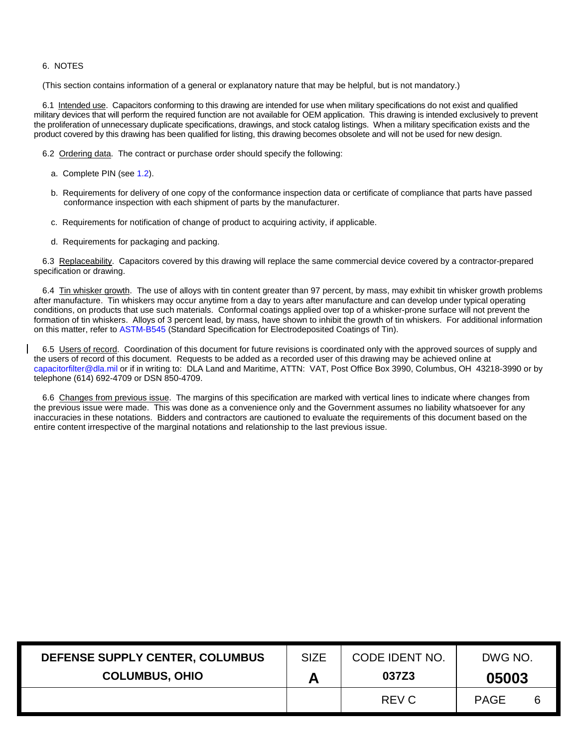# 6. NOTES

(This section contains information of a general or explanatory nature that may be helpful, but is not mandatory.)

6.1 Intended use. Capacitors conforming to this drawing are intended for use when military specifications do not exist and qualified military devices that will perform the required function are not available for OEM application. This drawing is intended exclusively to prevent the proliferation of unnecessary duplicate specifications, drawings, and stock catalog listings. When a military specification exists and the product covered by this drawing has been qualified for listing, this drawing becomes obsolete and will not be used for new design.

<span id="page-5-1"></span>6.2 Ordering data. The contract or purchase order should specify the following:

- a. Complete PIN (see [1.2\)](#page-1-0).
- b. Requirements for delivery of one copy of the conformance inspection data or certificate of compliance that parts have passed conformance inspection with each shipment of parts by the manufacturer.
- c. Requirements for notification of change of product to acquiring activity, if applicable.
- d. Requirements for packaging and packing.

6.3 Replaceability. Capacitors covered by this drawing will replace the same commercial device covered by a contractor-prepared specification or drawing.

<span id="page-5-0"></span>6.4 Tin whisker growth. The use of alloys with tin content greater than 97 percent, by mass, may exhibit tin whisker growth problems after manufacture. Tin whiskers may occur anytime from a day to years after manufacture and can develop under typical operating conditions, on products that use such materials. Conformal coatings applied over top of a whisker-prone surface will not prevent the formation of tin whiskers. Alloys of 3 percent lead, by mass, have shown to inhibit the growth of tin whiskers. For additional information on this matter, refer t[o ASTM-B545](http://global.ihs.com/) (Standard Specification for Electrodeposited Coatings of Tin).

6.5 Users of record. Coordination of this document for future revisions is coordinated only with the approved sources of supply and the users of record of this document. Requests to be added as a recorded user of this drawing may be achieved online at [capacitorfilter@dla.mil](mailto:capacitorfilter@dla.mil) or if in writing to: DLA Land and Maritime, ATTN: VAT, Post Office Box 3990, Columbus, OH 43218-3990 or by telephone (614) 692-4709 or DSN 850-4709.

6.6 Changes from previous issue. The margins of this specification are marked with vertical lines to indicate where changes from the previous issue were made. This was done as a convenience only and the Government assumes no liability whatsoever for any inaccuracies in these notations. Bidders and contractors are cautioned to evaluate the requirements of this document based on the entire content irrespective of the marginal notations and relationship to the last previous issue.

| DEFENSE SUPPLY CENTER, COLUMBUS | <b>SIZE</b> | CODE IDENT NO. | DWG NO.     |   |  |
|---------------------------------|-------------|----------------|-------------|---|--|
| <b>COLUMBUS, OHIO</b>           |             | 037Z3          | 05003       |   |  |
|                                 |             | REV C          | <b>PAGE</b> | 6 |  |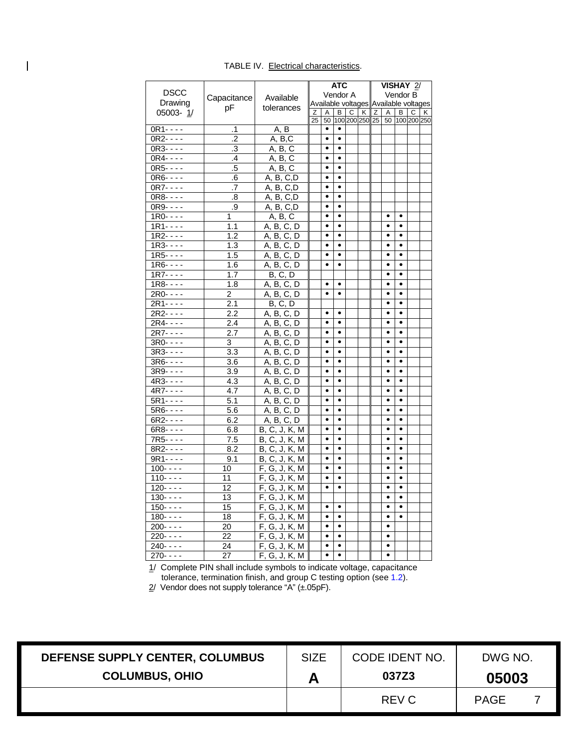|             |                         |                       | <b>ATC</b><br>VISHAY 2/               |           |           |   |   |   |                               |           |   |   |
|-------------|-------------------------|-----------------------|---------------------------------------|-----------|-----------|---|---|---|-------------------------------|-----------|---|---|
| <b>DSCC</b> |                         | Vendor B<br>Available |                                       |           | Vendor A  |   |   |   |                               |           |   |   |
| Drawing     | Capacitance             |                       | Available voltages Available voltages |           |           |   |   |   |                               |           |   |   |
| 05003-1/    | рF                      | tolerances            | Ζ                                     | Α         | в         | C | κ | Ζ | Α                             | В         | C | κ |
|             |                         |                       | 25                                    | 50        |           |   |   |   | 100 200 250 25 50 100 200 250 |           |   |   |
| $0R1 - - -$ | .1                      | A, B                  |                                       | $\bullet$ | $\bullet$ |   |   |   |                               |           |   |   |
| $0R2 - - -$ | $\overline{.2}$         | A, B, C               |                                       | $\bullet$ | $\bullet$ |   |   |   |                               |           |   |   |
| $0R3 - - -$ | $\overline{\mathbf{3}}$ | A, B, C               |                                       | $\bullet$ | $\bullet$ |   |   |   |                               |           |   |   |
| $0R4 - - -$ | $\cdot$                 | A, B, C               |                                       | $\bullet$ | $\bullet$ |   |   |   |                               |           |   |   |
| $0R5 - - -$ | .5                      | A, B, C               |                                       | $\bullet$ | ٠         |   |   |   |                               |           |   |   |
| $0R6 - - -$ | $.6\,$                  | A, B, C, D            |                                       | $\bullet$ | $\bullet$ |   |   |   |                               |           |   |   |
| $0R7 - - -$ | .7                      | A, B, C, D            |                                       | $\bullet$ | ٠         |   |   |   |                               |           |   |   |
| $0R8 - - -$ | .8                      | A, B, C, D            |                                       | $\bullet$ | $\bullet$ |   |   |   |                               |           |   |   |
| $0R9 - - -$ | $\overline{9}$          | A, B, C, D            |                                       | $\bullet$ | ٠         |   |   |   |                               |           |   |   |
| $1R0 - - -$ | 1                       | A, B, C               |                                       | $\bullet$ | $\bullet$ |   |   |   | ٠                             | ٠         |   |   |
| $1R1 - - -$ | 1.1                     | A, B, C, D            |                                       | $\bullet$ | $\bullet$ |   |   |   | $\bullet$                     | $\bullet$ |   |   |
| $1R2 - - -$ | 1.2                     | A, B, C, D            |                                       | $\bullet$ | $\bullet$ |   |   |   | $\bullet$                     | $\bullet$ |   |   |
| $1R3 - - -$ | 1.3                     | A, B, C, D            |                                       | $\bullet$ | $\bullet$ |   |   |   | $\bullet$                     | $\bullet$ |   |   |
| $1R5 - - -$ | 1.5                     | A, B, C, D            |                                       | $\bullet$ | $\bullet$ |   |   |   | $\bullet$                     | $\bullet$ |   |   |
| $1R6 - - -$ | 1.6                     | A, B, C, D            |                                       | $\bullet$ | $\bullet$ |   |   |   | $\bullet$                     | $\bullet$ |   |   |
| $1R7 - - -$ | 1.7                     | B, C, D               |                                       |           |           |   |   |   | $\bullet$                     | $\bullet$ |   |   |
| $1R8 - - -$ | 1.8                     | A, B, C, D            |                                       | $\bullet$ | $\bullet$ |   |   |   | $\bullet$                     | $\bullet$ |   |   |
| $2R0 - - -$ | 2                       | A, B, C, D            |                                       | $\bullet$ | $\bullet$ |   |   |   | $\bullet$                     | $\bullet$ |   |   |
| 2R1- - - -  | 2.1                     | <b>B, C, D</b>        |                                       |           |           |   |   |   | $\bullet$                     | $\bullet$ |   |   |
| $2R2 - - -$ | 2.2                     | A, B, C, D            |                                       | $\bullet$ | $\bullet$ |   |   |   | $\bullet$                     | $\bullet$ |   |   |
| 2R4- - - -  | 2.4                     | A, B, C, D            |                                       | $\bullet$ | $\bullet$ |   |   |   | $\bullet$                     | $\bullet$ |   |   |
| $2R7 - - -$ | 2.7                     | A, B, C, D            |                                       | $\bullet$ | $\bullet$ |   |   |   | $\bullet$                     | $\bullet$ |   |   |
| 3R0- - - -  | 3                       | A, B, C, D            |                                       | $\bullet$ | $\bullet$ |   |   |   | $\bullet$                     | $\bullet$ |   |   |
| $3R3 - - -$ | 3.3                     | A, B, C, D            |                                       | $\bullet$ | $\bullet$ |   |   |   | $\bullet$                     | $\bullet$ |   |   |
| 3R6- - - -  | 3.6                     | A, B, C, D            |                                       | $\bullet$ | $\bullet$ |   |   |   | $\bullet$                     | $\bullet$ |   |   |
| $3R9 - - -$ | 3.9                     | A, B, C, D            |                                       | $\bullet$ | $\bullet$ |   |   |   | $\bullet$                     | $\bullet$ |   |   |
| 4R3- - - -  | 4.3                     | A, B, C, D            |                                       | $\bullet$ | $\bullet$ |   |   |   | $\bullet$                     | $\bullet$ |   |   |
| $4R7 - - -$ | 4.7                     | A, B, C,<br>D         |                                       | $\bullet$ | $\bullet$ |   |   |   | $\bullet$                     | $\bullet$ |   |   |
| $5R1 - - -$ | 5.1                     | A, B, C, D            |                                       | $\bullet$ | $\bullet$ |   |   |   | $\bullet$                     | $\bullet$ |   |   |
| $5R6 - - -$ | 5.6                     | A, B, C, D            |                                       | $\bullet$ | $\bullet$ |   |   |   | $\bullet$                     | $\bullet$ |   |   |
| $6R2 - - -$ | 6.2                     | A, B, C, D            |                                       | $\bullet$ | $\bullet$ |   |   |   | $\bullet$                     | $\bullet$ |   |   |
| $6R8 - - -$ | 6.8                     | B, C, J, K, M         |                                       | $\bullet$ | $\bullet$ |   |   |   | $\bullet$                     | $\bullet$ |   |   |
| 7R5- - - -  | 7.5                     | B, C, J, K, M         |                                       | $\bullet$ | $\bullet$ |   |   |   | $\bullet$                     | $\bullet$ |   |   |
| $8R2 - - -$ | 8.2                     | B, C, J, K, M         |                                       | $\bullet$ | $\bullet$ |   |   |   | $\bullet$                     | $\bullet$ |   |   |
| $9R1 - - -$ | 9.1                     | B, C, J, K, M         |                                       | $\bullet$ | $\bullet$ |   |   |   | $\bullet$                     | $\bullet$ |   |   |
| $100 - - -$ | 10                      | F,<br>G, J, K, M      |                                       | $\bullet$ | $\bullet$ |   |   |   | $\bullet$                     | $\bullet$ |   |   |
| $110 - - -$ | 11                      | F, G, J, K, M         |                                       | $\bullet$ | $\bullet$ |   |   |   | $\bullet$                     | $\bullet$ |   |   |
| $120 - - -$ | 12                      | F, G, J, K, M         |                                       | $\bullet$ | $\bullet$ |   |   |   | $\bullet$                     |           |   |   |
| $130 - - -$ | 13                      | F, G, J, K, M         |                                       |           |           |   |   |   | $\bullet$                     | $\bullet$ |   |   |
| $150 - - -$ | 15                      | F, G, J, K, M         |                                       | $\bullet$ | $\bullet$ |   |   |   | $\bullet$                     | $\bullet$ |   |   |
| $180 - - -$ | 18                      | F, G, J, K, M         |                                       | $\bullet$ | $\bullet$ |   |   |   | $\bullet$                     | $\bullet$ |   |   |
| $200 - - -$ | 20                      | F, G, J, K, M         |                                       | $\bullet$ | ٠         |   |   |   | $\bullet$                     |           |   |   |
| 220- - - -  | 22                      | F, G, J, K, M         |                                       | $\bullet$ | $\bullet$ |   |   |   | $\bullet$                     |           |   |   |
| 240- - - -  | 24                      | F, G, J, K, M         |                                       | $\bullet$ | $\bullet$ |   |   |   | ٠                             |           |   |   |
| $270 - - -$ | 27                      | F, G, J, K, M         |                                       | $\bullet$ | $\bullet$ |   |   |   |                               |           |   |   |

TABLE IV. Electrical characteristics.

<span id="page-6-0"></span> $\mathbf{I}$ 

1/ Complete PIN shall include symbols to indicate voltage, capacitance tolerance, termination finish, and group C testing option (see [1.2\)](#page-1-0).

 $2/$  Vendor does not supply tolerance "A" (±.05pF).

| DEFENSE SUPPLY CENTER, COLUMBUS | <b>SIZE</b> | CODE IDENT NO. | DWG NO.     |  |  |
|---------------------------------|-------------|----------------|-------------|--|--|
| <b>COLUMBUS, OHIO</b>           | Α           | 037Z3          | 05003       |  |  |
|                                 |             | REV C          | <b>PAGE</b> |  |  |